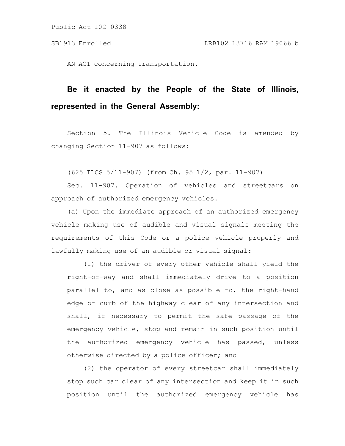Public Act 102-0338

AN ACT concerning transportation.

## **Be it enacted by the People of the State of Illinois, represented in the General Assembly:**

Section 5. The Illinois Vehicle Code is amended by changing Section 11-907 as follows:

(625 ILCS 5/11-907) (from Ch. 95 1/2, par. 11-907)

Sec. 11-907. Operation of vehicles and streetcars on approach of authorized emergency vehicles.

(a) Upon the immediate approach of an authorized emergency vehicle making use of audible and visual signals meeting the requirements of this Code or a police vehicle properly and lawfully making use of an audible or visual signal:

(1) the driver of every other vehicle shall yield the right-of-way and shall immediately drive to a position parallel to, and as close as possible to, the right-hand edge or curb of the highway clear of any intersection and shall, if necessary to permit the safe passage of the emergency vehicle, stop and remain in such position until the authorized emergency vehicle has passed, unless otherwise directed by a police officer; and

(2) the operator of every streetcar shall immediately stop such car clear of any intersection and keep it in such position until the authorized emergency vehicle has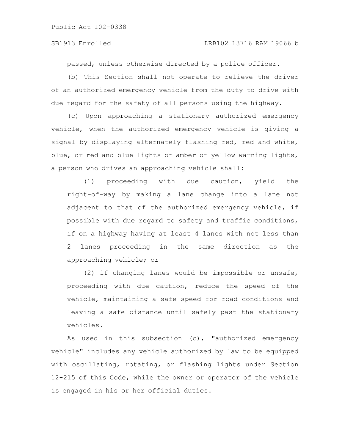passed, unless otherwise directed by a police officer.

(b) This Section shall not operate to relieve the driver of an authorized emergency vehicle from the duty to drive with due regard for the safety of all persons using the highway.

(c) Upon approaching a stationary authorized emergency vehicle, when the authorized emergency vehicle is giving a signal by displaying alternately flashing red, red and white, blue, or red and blue lights or amber or yellow warning lights, a person who drives an approaching vehicle shall:

(1) proceeding with due caution, yield the right-of-way by making a lane change into a lane not adjacent to that of the authorized emergency vehicle, if possible with due regard to safety and traffic conditions, if on a highway having at least 4 lanes with not less than 2 lanes proceeding in the same direction as the approaching vehicle; or

(2) if changing lanes would be impossible or unsafe, proceeding with due caution, reduce the speed of the vehicle, maintaining a safe speed for road conditions and leaving a safe distance until safely past the stationary vehicles.

As used in this subsection (c), "authorized emergency vehicle" includes any vehicle authorized by law to be equipped with oscillating, rotating, or flashing lights under Section 12-215 of this Code, while the owner or operator of the vehicle is engaged in his or her official duties.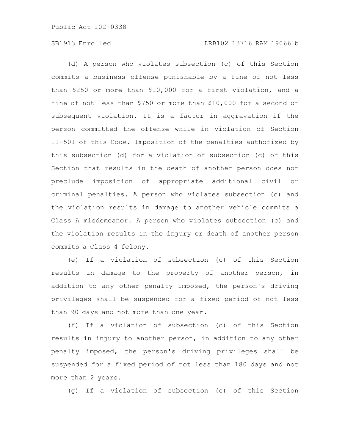## SB1913 Enrolled LRB102 13716 RAM 19066 b

(d) A person who violates subsection (c) of this Section commits a business offense punishable by a fine of not less than \$250 or more than \$10,000 for a first violation, and a fine of not less than \$750 or more than \$10,000 for a second or subsequent violation. It is a factor in aggravation if the person committed the offense while in violation of Section 11-501 of this Code. Imposition of the penalties authorized by this subsection (d) for a violation of subsection (c) of this Section that results in the death of another person does not preclude imposition of appropriate additional civil or criminal penalties. A person who violates subsection (c) and the violation results in damage to another vehicle commits a Class A misdemeanor. A person who violates subsection (c) and the violation results in the injury or death of another person commits a Class 4 felony.

(e) If a violation of subsection (c) of this Section results in damage to the property of another person, in addition to any other penalty imposed, the person's driving privileges shall be suspended for a fixed period of not less than 90 days and not more than one year.

(f) If a violation of subsection (c) of this Section results in injury to another person, in addition to any other penalty imposed, the person's driving privileges shall be suspended for a fixed period of not less than 180 days and not more than 2 years.

(g) If a violation of subsection (c) of this Section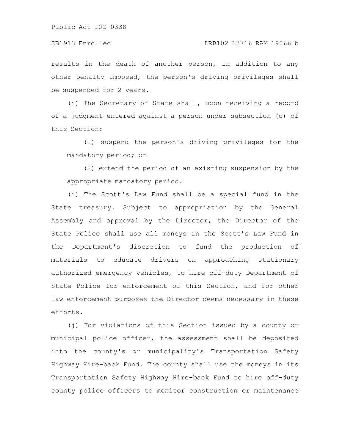## SB1913 Enrolled LRB102 13716 RAM 19066 b

results in the death of another person, in addition to any other penalty imposed, the person's driving privileges shall be suspended for 2 years.

(h) The Secretary of State shall, upon receiving a record of a judgment entered against a person under subsection (c) of this Section:

(1) suspend the person's driving privileges for the mandatory period; or

(2) extend the period of an existing suspension by the appropriate mandatory period.

(i) The Scott's Law Fund shall be a special fund in the State treasury. Subject to appropriation by the General Assembly and approval by the Director, the Director of the State Police shall use all moneys in the Scott's Law Fund in the Department's discretion to fund the production of materials to educate drivers on approaching stationary authorized emergency vehicles, to hire off-duty Department of State Police for enforcement of this Section, and for other law enforcement purposes the Director deems necessary in these efforts.

(j) For violations of this Section issued by a county or municipal police officer, the assessment shall be deposited into the county's or municipality's Transportation Safety Highway Hire-back Fund. The county shall use the moneys in its Transportation Safety Highway Hire-back Fund to hire off-duty county police officers to monitor construction or maintenance